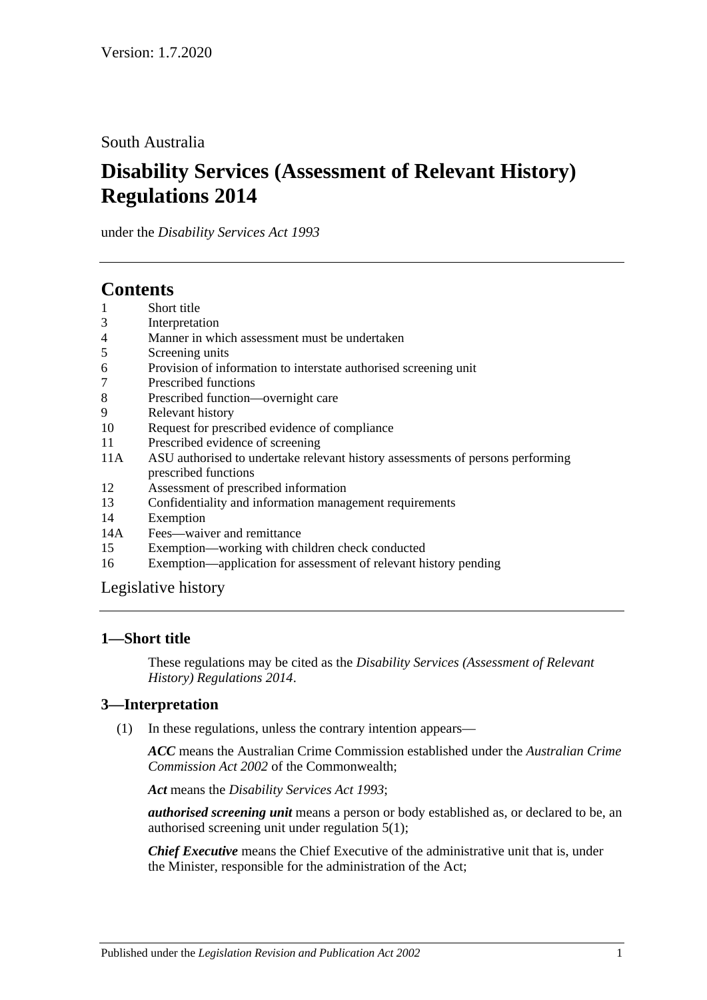South Australia

# **Disability Services (Assessment of Relevant History) Regulations 2014**

under the *Disability Services Act 1993*

# **Contents**

- 1 [Short title](#page-0-0)
- 3 [Interpretation](#page-0-1)
- 4 [Manner in which assessment must be undertaken](#page-1-0)
- 5 [Screening units](#page-1-1)
- 6 [Provision of information to interstate authorised screening unit](#page-1-2)
- 7 [Prescribed functions](#page-1-3)
- 8 [Prescribed function—overnight care](#page-2-0)
- 9 [Relevant history](#page-2-1)
- 10 [Request for prescribed evidence of compliance](#page-3-0)
- 11 [Prescribed evidence of screening](#page-3-1)
- 11A [ASU authorised to undertake relevant history assessments of persons performing](#page-3-2)  [prescribed functions](#page-3-2)
- 12 [Assessment of prescribed information](#page-3-3)
- 13 [Confidentiality and information management requirements](#page-4-0)
- 14 [Exemption](#page-4-1)
- 14A [Fees—waiver and remittance](#page-5-0)
- 15 [Exemption—working with children check conducted](#page-5-1)
- 16 [Exemption—application for assessment of relevant history pending](#page-5-2)

[Legislative history](#page-7-0)

# <span id="page-0-0"></span>**1—Short title**

These regulations may be cited as the *Disability Services (Assessment of Relevant History) Regulations 2014*.

# <span id="page-0-1"></span>**3—Interpretation**

(1) In these regulations, unless the contrary intention appears—

*ACC* means the Australian Crime Commission established under the *Australian Crime Commission Act 2002* of the Commonwealth;

*Act* means the *[Disability Services Act](http://www.legislation.sa.gov.au/index.aspx?action=legref&type=act&legtitle=Disability%20Services%20Act%201993) 1993*;

*authorised screening unit* means a person or body established as, or declared to be, an authorised screening unit under [regulation](#page-1-4) 5(1);

*Chief Executive* means the Chief Executive of the administrative unit that is, under the Minister, responsible for the administration of the Act;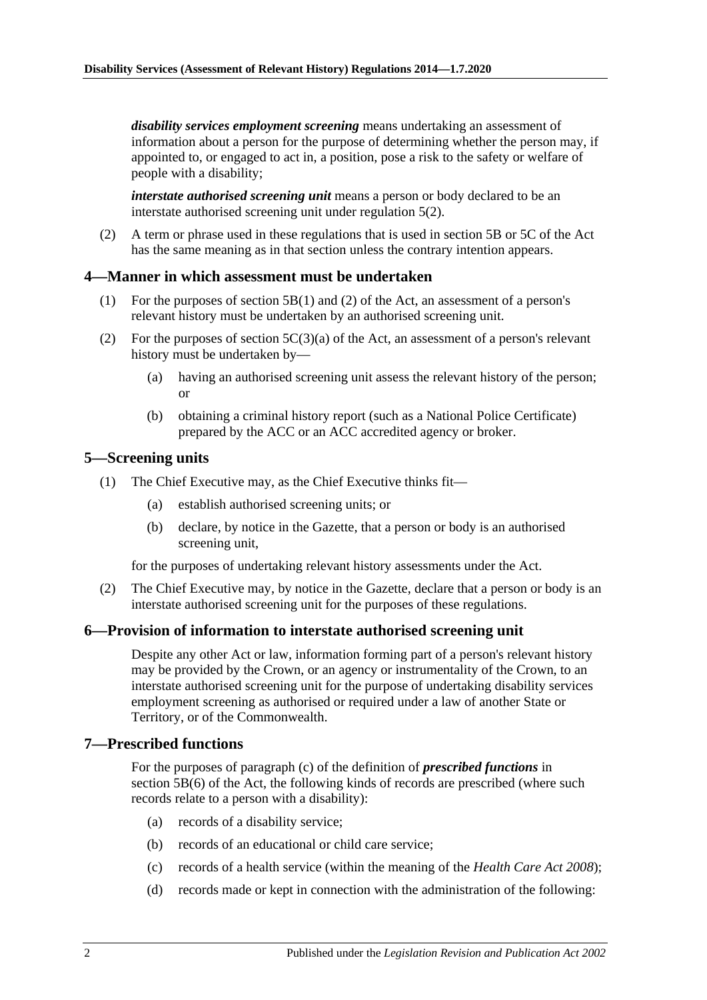*disability services employment screening* means undertaking an assessment of information about a person for the purpose of determining whether the person may, if appointed to, or engaged to act in, a position, pose a risk to the safety or welfare of people with a disability;

*interstate authorised screening unit* means a person or body declared to be an interstate authorised screening unit under [regulation](#page-1-5) 5(2).

(2) A term or phrase used in these regulations that is used in section 5B or 5C of the Act has the same meaning as in that section unless the contrary intention appears.

## <span id="page-1-0"></span>**4—Manner in which assessment must be undertaken**

- (1) For the purposes of section 5B(1) and (2) of the Act, an assessment of a person's relevant history must be undertaken by an authorised screening unit.
- (2) For the purposes of section  $5C(3)(a)$  of the Act, an assessment of a person's relevant history must be undertaken by—
	- (a) having an authorised screening unit assess the relevant history of the person; or
	- (b) obtaining a criminal history report (such as a National Police Certificate) prepared by the ACC or an ACC accredited agency or broker.

## <span id="page-1-4"></span><span id="page-1-1"></span>**5—Screening units**

- (1) The Chief Executive may, as the Chief Executive thinks fit—
	- (a) establish authorised screening units; or
	- (b) declare, by notice in the Gazette, that a person or body is an authorised screening unit,

for the purposes of undertaking relevant history assessments under the Act.

<span id="page-1-5"></span>(2) The Chief Executive may, by notice in the Gazette, declare that a person or body is an interstate authorised screening unit for the purposes of these regulations.

#### <span id="page-1-2"></span>**6—Provision of information to interstate authorised screening unit**

Despite any other Act or law, information forming part of a person's relevant history may be provided by the Crown, or an agency or instrumentality of the Crown, to an interstate authorised screening unit for the purpose of undertaking disability services employment screening as authorised or required under a law of another State or Territory, or of the Commonwealth.

#### <span id="page-1-3"></span>**7—Prescribed functions**

For the purposes of paragraph (c) of the definition of *prescribed functions* in section 5B(6) of the Act, the following kinds of records are prescribed (where such records relate to a person with a disability):

- (a) records of a disability service;
- (b) records of an educational or child care service;
- (c) records of a health service (within the meaning of the *[Health Care Act](http://www.legislation.sa.gov.au/index.aspx?action=legref&type=act&legtitle=Health%20Care%20Act%202008) 2008*);
- (d) records made or kept in connection with the administration of the following: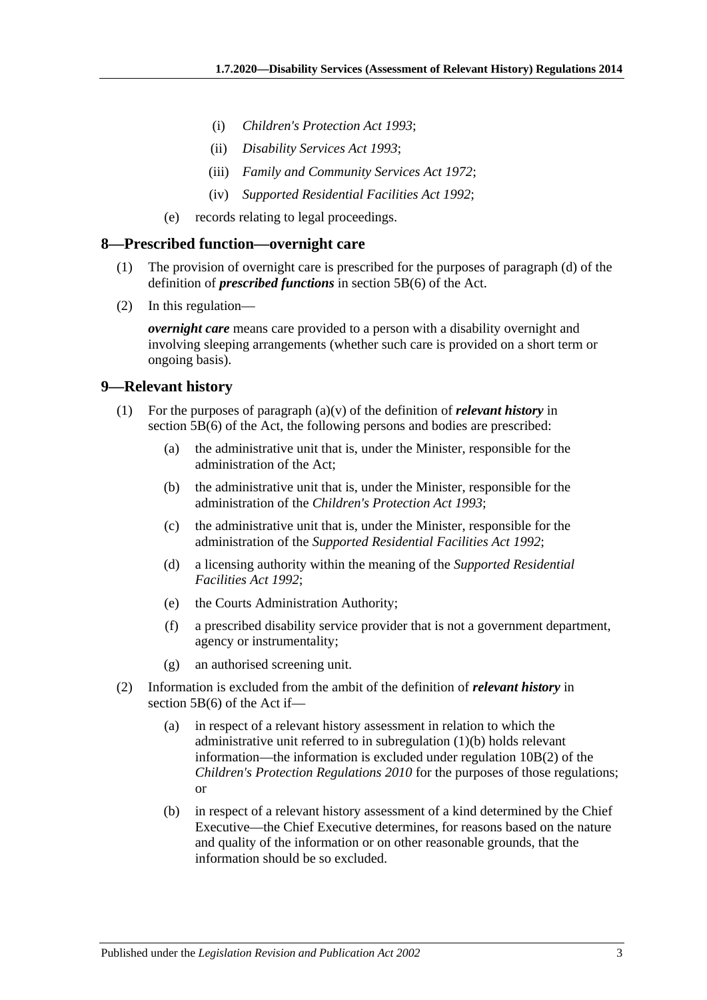- (i) *[Children's Protection Act](http://www.legislation.sa.gov.au/index.aspx?action=legref&type=act&legtitle=Childrens%20Protection%20Act%201993) 1993*;
- (ii) *[Disability Services Act](http://www.legislation.sa.gov.au/index.aspx?action=legref&type=act&legtitle=Disability%20Services%20Act%201993) 1993*;
- (iii) *[Family and Community Services Act](http://www.legislation.sa.gov.au/index.aspx?action=legref&type=act&legtitle=Family%20and%20Community%20Services%20Act%201972) 1972*;
- (iv) *[Supported Residential Facilities Act](http://www.legislation.sa.gov.au/index.aspx?action=legref&type=act&legtitle=Supported%20Residential%20Facilities%20Act%201992) 1992*;
- (e) records relating to legal proceedings.

#### <span id="page-2-0"></span>**8—Prescribed function—overnight care**

- (1) The provision of overnight care is prescribed for the purposes of paragraph (d) of the definition of *prescribed functions* in section 5B(6) of the Act.
- (2) In this regulation—

*overnight care* means care provided to a person with a disability overnight and involving sleeping arrangements (whether such care is provided on a short term or ongoing basis).

#### <span id="page-2-1"></span>**9—Relevant history**

- <span id="page-2-2"></span>(1) For the purposes of paragraph (a)(v) of the definition of *relevant history* in section 5B(6) of the Act, the following persons and bodies are prescribed:
	- (a) the administrative unit that is, under the Minister, responsible for the administration of the Act;
	- (b) the administrative unit that is, under the Minister, responsible for the administration of the *[Children's Protection Act](http://www.legislation.sa.gov.au/index.aspx?action=legref&type=act&legtitle=Childrens%20Protection%20Act%201993) 1993*;
	- (c) the administrative unit that is, under the Minister, responsible for the administration of the *[Supported Residential Facilities Act](http://www.legislation.sa.gov.au/index.aspx?action=legref&type=act&legtitle=Supported%20Residential%20Facilities%20Act%201992) 1992*;
	- (d) a licensing authority within the meaning of the *[Supported Residential](http://www.legislation.sa.gov.au/index.aspx?action=legref&type=act&legtitle=Supported%20Residential%20Facilities%20Act%201992)  [Facilities Act](http://www.legislation.sa.gov.au/index.aspx?action=legref&type=act&legtitle=Supported%20Residential%20Facilities%20Act%201992) 1992*;
	- (e) the Courts Administration Authority;
	- (f) a prescribed disability service provider that is not a government department, agency or instrumentality;
	- (g) an authorised screening unit.
- (2) Information is excluded from the ambit of the definition of *relevant history* in section 5B(6) of the Act if—
	- (a) in respect of a relevant history assessment in relation to which the administrative unit referred to in [subregulation](#page-2-2) (1)(b) holds relevant information—the information is excluded under regulation 10B(2) of the *[Children's Protection Regulations](http://www.legislation.sa.gov.au/index.aspx?action=legref&type=subordleg&legtitle=Childrens%20Protection%20Regulations%202010) 2010* for the purposes of those regulations; or
	- (b) in respect of a relevant history assessment of a kind determined by the Chief Executive—the Chief Executive determines, for reasons based on the nature and quality of the information or on other reasonable grounds, that the information should be so excluded.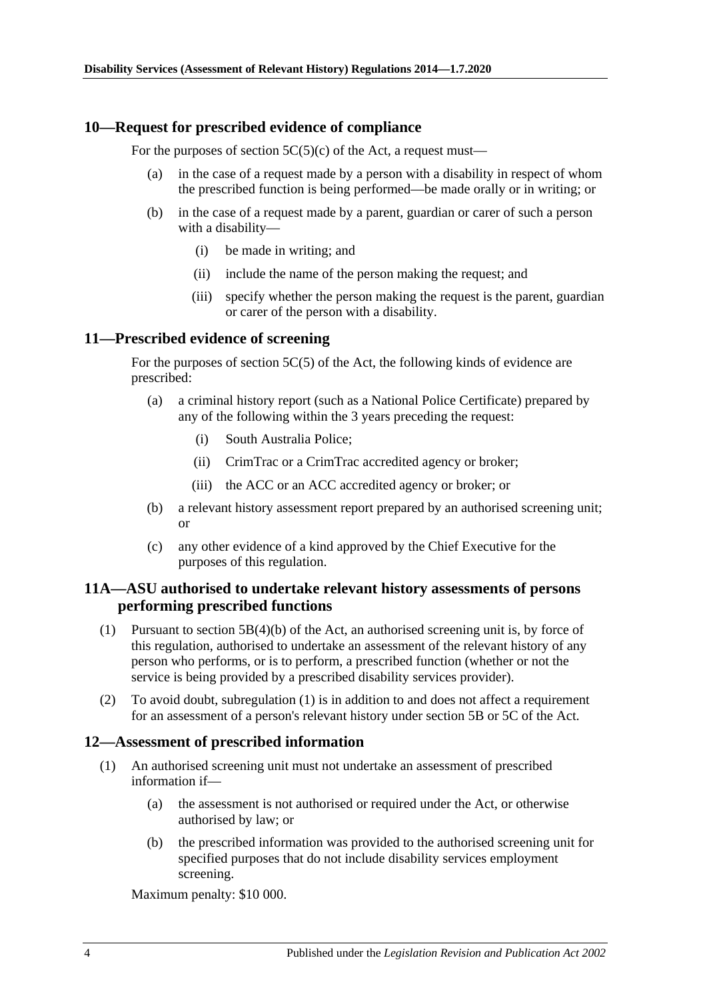## <span id="page-3-0"></span>**10—Request for prescribed evidence of compliance**

For the purposes of section  $5C(5)(c)$  of the Act, a request must—

- (a) in the case of a request made by a person with a disability in respect of whom the prescribed function is being performed—be made orally or in writing; or
- (b) in the case of a request made by a parent, guardian or carer of such a person with a disability—
	- (i) be made in writing; and
	- (ii) include the name of the person making the request; and
	- (iii) specify whether the person making the request is the parent, guardian or carer of the person with a disability.

## <span id="page-3-1"></span>**11—Prescribed evidence of screening**

For the purposes of section 5C(5) of the Act, the following kinds of evidence are prescribed:

- (a) a criminal history report (such as a National Police Certificate) prepared by any of the following within the 3 years preceding the request:
	- (i) South Australia Police;
	- (ii) CrimTrac or a CrimTrac accredited agency or broker;
	- (iii) the ACC or an ACC accredited agency or broker; or
- (b) a relevant history assessment report prepared by an authorised screening unit; or
- (c) any other evidence of a kind approved by the Chief Executive for the purposes of this regulation.

## <span id="page-3-2"></span>**11A—ASU authorised to undertake relevant history assessments of persons performing prescribed functions**

- <span id="page-3-4"></span>(1) Pursuant to section 5B(4)(b) of the Act, an authorised screening unit is, by force of this regulation, authorised to undertake an assessment of the relevant history of any person who performs, or is to perform, a prescribed function (whether or not the service is being provided by a prescribed disability services provider).
- (2) To avoid doubt, [subregulation](#page-3-4) (1) is in addition to and does not affect a requirement for an assessment of a person's relevant history under section 5B or 5C of the Act.

#### <span id="page-3-3"></span>**12—Assessment of prescribed information**

- (1) An authorised screening unit must not undertake an assessment of prescribed information if—
	- (a) the assessment is not authorised or required under the Act, or otherwise authorised by law; or
	- (b) the prescribed information was provided to the authorised screening unit for specified purposes that do not include disability services employment screening.

Maximum penalty: \$10 000.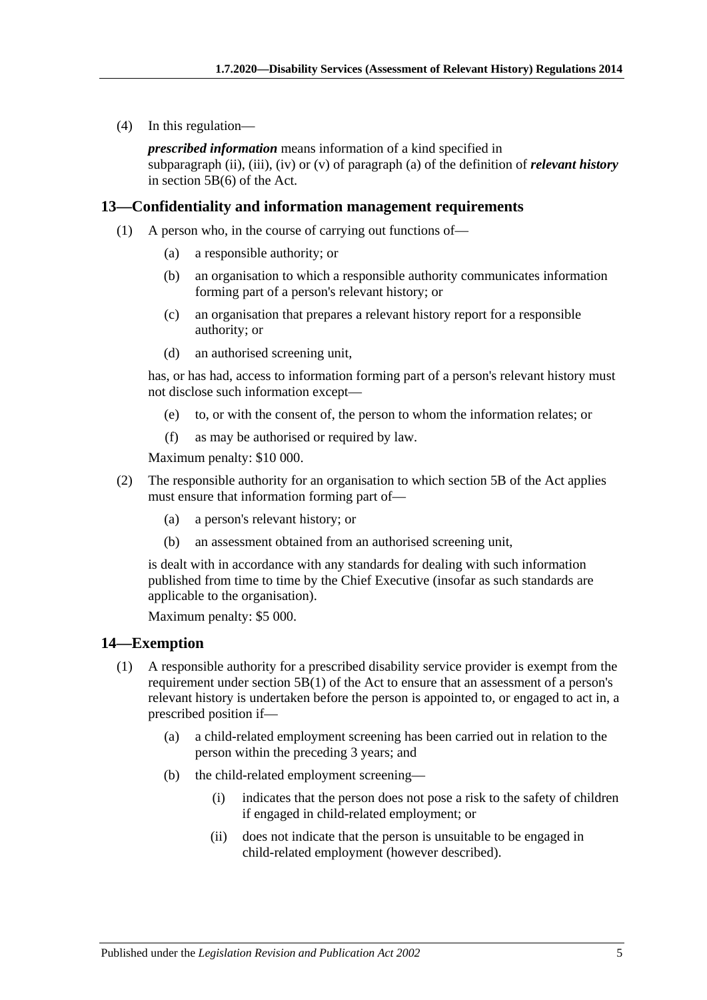(4) In this regulation—

*prescribed information* means information of a kind specified in subparagraph (ii), (iii), (iv) or (v) of paragraph (a) of the definition of *relevant history* in section 5B(6) of the Act.

## <span id="page-4-0"></span>**13—Confidentiality and information management requirements**

- (1) A person who, in the course of carrying out functions of—
	- (a) a responsible authority; or
	- (b) an organisation to which a responsible authority communicates information forming part of a person's relevant history; or
	- (c) an organisation that prepares a relevant history report for a responsible authority; or
	- (d) an authorised screening unit,

has, or has had, access to information forming part of a person's relevant history must not disclose such information except—

- (e) to, or with the consent of, the person to whom the information relates; or
- (f) as may be authorised or required by law.

Maximum penalty: \$10 000.

- (2) The responsible authority for an organisation to which section 5B of the Act applies must ensure that information forming part of—
	- (a) a person's relevant history; or
	- (b) an assessment obtained from an authorised screening unit,

is dealt with in accordance with any standards for dealing with such information published from time to time by the Chief Executive (insofar as such standards are applicable to the organisation).

Maximum penalty: \$5 000.

#### <span id="page-4-1"></span>**14—Exemption**

- (1) A responsible authority for a prescribed disability service provider is exempt from the requirement under section  $5B(1)$  of the Act to ensure that an assessment of a person's relevant history is undertaken before the person is appointed to, or engaged to act in, a prescribed position if—
	- (a) a child-related employment screening has been carried out in relation to the person within the preceding 3 years; and
	- (b) the child-related employment screening—
		- (i) indicates that the person does not pose a risk to the safety of children if engaged in child-related employment; or
		- (ii) does not indicate that the person is unsuitable to be engaged in child-related employment (however described).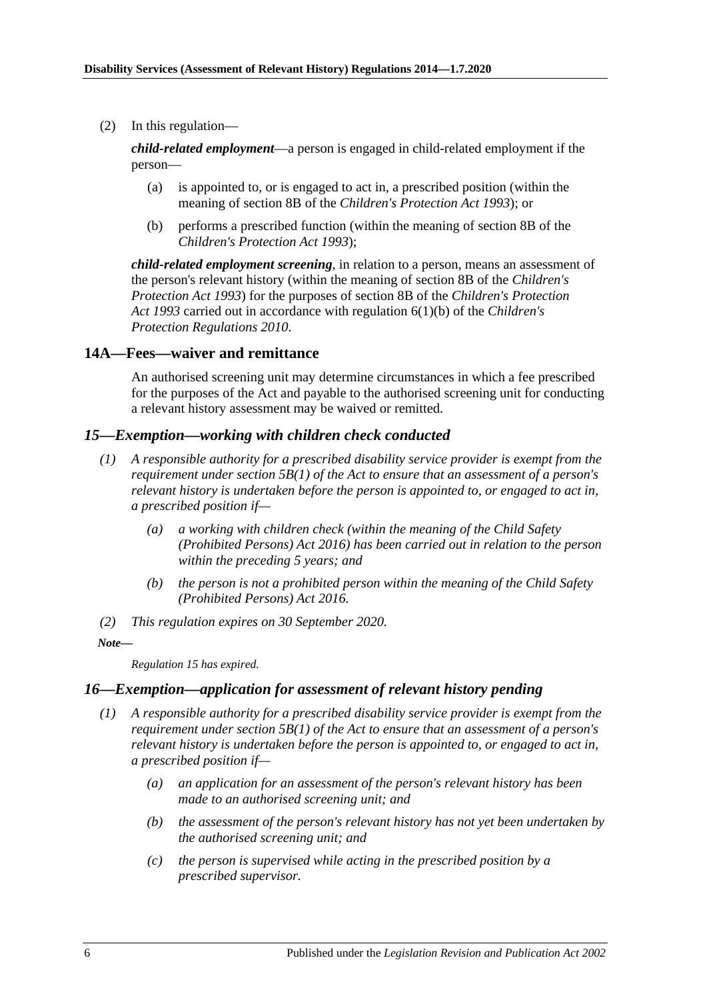(2) In this regulation—

*child-related employment*—a person is engaged in child-related employment if the person—

- (a) is appointed to, or is engaged to act in, a prescribed position (within the meaning of section 8B of the *[Children's Protection Act](http://www.legislation.sa.gov.au/index.aspx?action=legref&type=act&legtitle=Childrens%20Protection%20Act%201993) 1993*); or
- (b) performs a prescribed function (within the meaning of section 8B of the *[Children's Protection Act](http://www.legislation.sa.gov.au/index.aspx?action=legref&type=act&legtitle=Childrens%20Protection%20Act%201993) 1993*);

*child-related employment screening*, in relation to a person, means an assessment of the person's relevant history (within the meaning of section 8B of the *[Children's](http://www.legislation.sa.gov.au/index.aspx?action=legref&type=act&legtitle=Childrens%20Protection%20Act%201993)  [Protection Act](http://www.legislation.sa.gov.au/index.aspx?action=legref&type=act&legtitle=Childrens%20Protection%20Act%201993) 1993*) for the purposes of section 8B of the *[Children's Protection](http://www.legislation.sa.gov.au/index.aspx?action=legref&type=act&legtitle=Childrens%20Protection%20Act%201993)  Act [1993](http://www.legislation.sa.gov.au/index.aspx?action=legref&type=act&legtitle=Childrens%20Protection%20Act%201993)* carried out in accordance with regulation 6(1)(b) of the *[Children's](http://www.legislation.sa.gov.au/index.aspx?action=legref&type=subordleg&legtitle=Childrens%20Protection%20Regulations%202010)  [Protection Regulations](http://www.legislation.sa.gov.au/index.aspx?action=legref&type=subordleg&legtitle=Childrens%20Protection%20Regulations%202010) 2010*.

## <span id="page-5-0"></span>**14A—Fees—waiver and remittance**

An authorised screening unit may determine circumstances in which a fee prescribed for the purposes of the Act and payable to the authorised screening unit for conducting a relevant history assessment may be waived or remitted.

#### <span id="page-5-1"></span>*15—Exemption—working with children check conducted*

- *(1) A responsible authority for a prescribed disability service provider is exempt from the requirement under section 5B(1) of the Act to ensure that an assessment of a person's relevant history is undertaken before the person is appointed to, or engaged to act in, a prescribed position if—*
	- *(a) a working with children check (within the meaning of the [Child Safety](http://www.legislation.sa.gov.au/index.aspx?action=legref&type=act&legtitle=Child%20Safety%20(Prohibited%20Persons)%20Act%202016)  [\(Prohibited Persons\) Act](http://www.legislation.sa.gov.au/index.aspx?action=legref&type=act&legtitle=Child%20Safety%20(Prohibited%20Persons)%20Act%202016) 2016) has been carried out in relation to the person within the preceding 5 years; and*
	- *(b) the person is not a prohibited person within the meaning of the [Child Safety](http://www.legislation.sa.gov.au/index.aspx?action=legref&type=act&legtitle=Child%20Safety%20(Prohibited%20Persons)%20Act%202016)  [\(Prohibited Persons\) Act](http://www.legislation.sa.gov.au/index.aspx?action=legref&type=act&legtitle=Child%20Safety%20(Prohibited%20Persons)%20Act%202016) 2016.*
- *(2) This regulation expires on 30 September 2020.*

#### *Note—*

*Regulation 15 has expired.*

## <span id="page-5-3"></span><span id="page-5-2"></span>*16—Exemption—application for assessment of relevant history pending*

- *(1) A responsible authority for a prescribed disability service provider is exempt from the requirement under section 5B(1) of the Act to ensure that an assessment of a person's relevant history is undertaken before the person is appointed to, or engaged to act in, a prescribed position if—*
	- *(a) an application for an assessment of the person's relevant history has been made to an authorised screening unit; and*
	- *(b) the assessment of the person's relevant history has not yet been undertaken by the authorised screening unit; and*
	- *(c) the person is supervised while acting in the prescribed position by a prescribed supervisor.*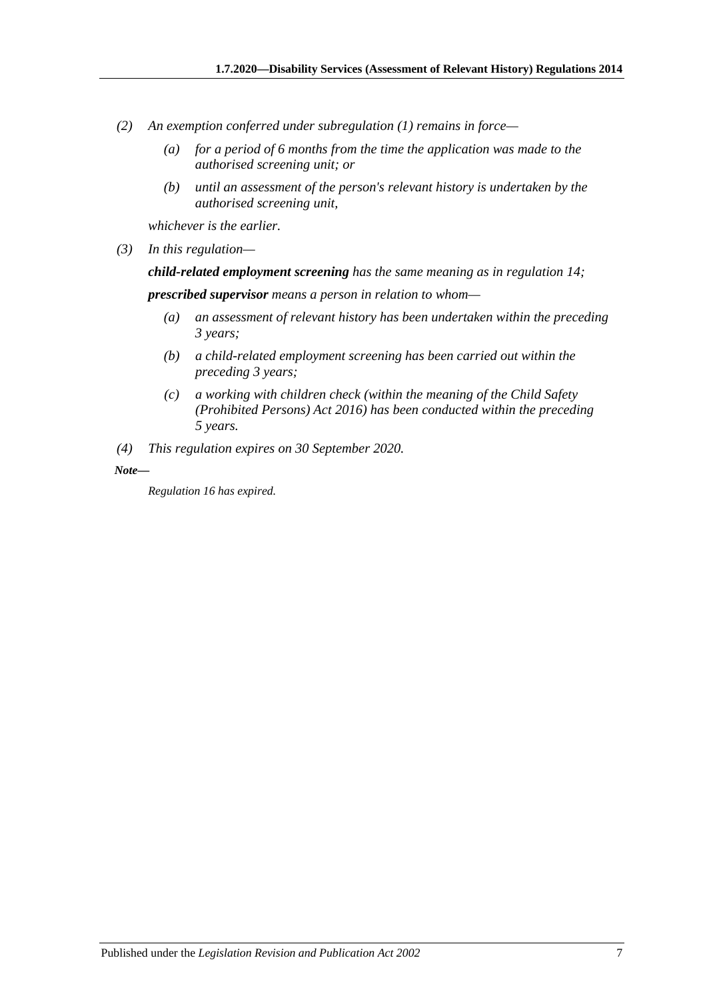- *(2) An exemption conferred under [subregulation](#page-5-3) (1) remains in force—*
	- *(a) for a period of 6 months from the time the application was made to the authorised screening unit; or*
	- *(b) until an assessment of the person's relevant history is undertaken by the authorised screening unit,*

*whichever is the earlier.*

*(3) In this regulation—*

*child-related employment screening has the same meaning as in [regulation](#page-4-1) 14;*

*prescribed supervisor means a person in relation to whom—*

- *(a) an assessment of relevant history has been undertaken within the preceding 3 years;*
- *(b) a child-related employment screening has been carried out within the preceding 3 years;*
- *(c) a working with children check (within the meaning of the [Child Safety](http://www.legislation.sa.gov.au/index.aspx?action=legref&type=act&legtitle=Child%20Safety%20(Prohibited%20Persons)%20Act%202016)  [\(Prohibited Persons\) Act](http://www.legislation.sa.gov.au/index.aspx?action=legref&type=act&legtitle=Child%20Safety%20(Prohibited%20Persons)%20Act%202016) 2016) has been conducted within the preceding 5 years.*
- *(4) This regulation expires on 30 September 2020.*

*Note—*

*Regulation 16 has expired.*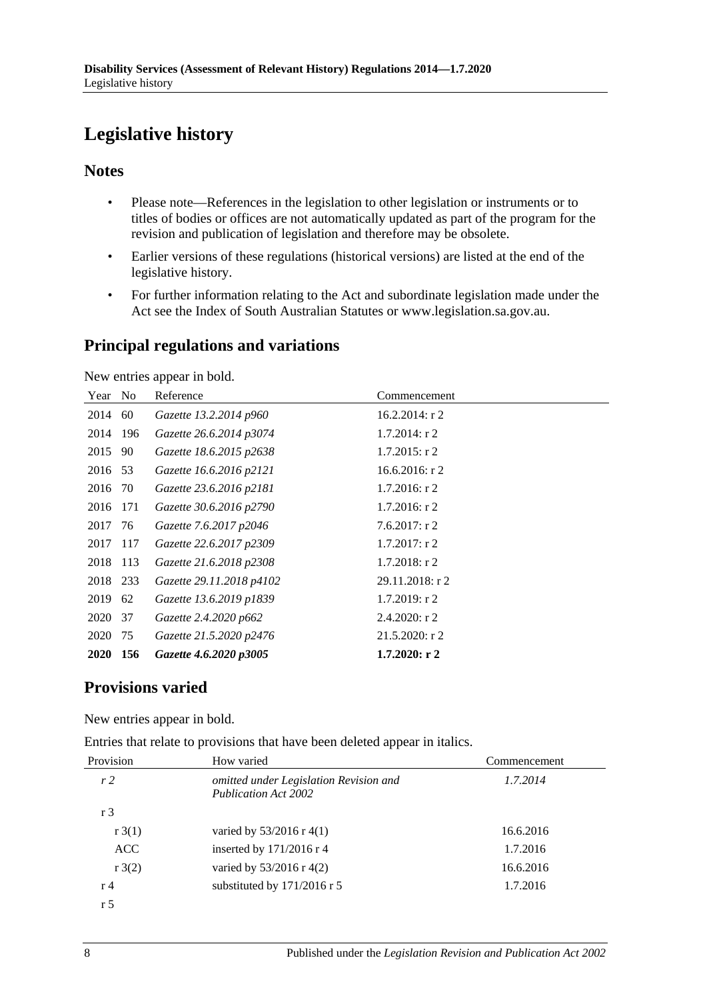# <span id="page-7-0"></span>**Legislative history**

# **Notes**

- Please note—References in the legislation to other legislation or instruments or to titles of bodies or offices are not automatically updated as part of the program for the revision and publication of legislation and therefore may be obsolete.
- Earlier versions of these regulations (historical versions) are listed at the end of the legislative history.
- For further information relating to the Act and subordinate legislation made under the Act see the Index of South Australian Statutes or www.legislation.sa.gov.au.

# **Principal regulations and variations**

New entries appear in bold.

| Year        | N <sub>0</sub> | Reference                | Commencement      |
|-------------|----------------|--------------------------|-------------------|
| 2014        | 60             | Gazette 13.2.2014 p960   | $16.2.2014$ : r 2 |
| 2014 196    |                | Gazette 26.6.2014 p3074  | $1.7.2014$ : r 2  |
| 2015        | 90             | Gazette 18.6.2015 p2638  | $1.7.2015$ : r 2  |
| 2016 53     |                | Gazette 16.6.2016 p2121  | $16.6.2016$ : r 2 |
| 2016 70     |                | Gazette 23.6.2016 p2181  | $1.7.2016$ : r 2  |
| 2016 171    |                | Gazette 30.6.2016 p2790  | $1.7.2016$ : r 2  |
| 2017 76     |                | Gazette 7.6.2017 p2046   | 7.6.2017: r2      |
| 2017 117    |                | Gazette 22.6.2017 p2309  | $1.7.2017$ : r 2  |
| 2018 113    |                | Gazette 21.6.2018 p2308  | $1.7.2018$ : r 2  |
| 2018 233    |                | Gazette 29.11.2018 p4102 | 29.11.2018: r 2   |
| 2019        | 62             | Gazette 13.6.2019 p1839  | $1.7.2019$ : r 2  |
| 2020        | 37             | Gazette 2.4.2020 p662    | $2.4.2020:$ r 2   |
| 2020        | 75             | Gazette 21.5.2020 p2476  | $21.5.2020:$ r 2  |
| <b>2020</b> | 156            | Gazette 4.6.2020 p3005   | $1.7.2020:$ r 2   |

# **Provisions varied**

New entries appear in bold.

Entries that relate to provisions that have been deleted appear in italics.

| Provision          | How varied                                                            | Commencement |  |
|--------------------|-----------------------------------------------------------------------|--------------|--|
| r <sub>2</sub>     | omitted under Legislation Revision and<br><b>Publication Act 2002</b> | 1.7.2014     |  |
| r <sub>3</sub>     |                                                                       |              |  |
| r3(1)              | varied by $53/2016$ r 4(1)                                            | 16.6.2016    |  |
| <b>ACC</b>         | inserted by $171/2016$ r 4                                            | 1.7.2016     |  |
| $r \frac{3(2)}{2}$ | varied by $53/2016$ r 4(2)                                            | 16.6.2016    |  |
| r <sub>4</sub>     | substituted by 171/2016 r 5                                           | 1.7.2016     |  |
| r <sub>5</sub>     |                                                                       |              |  |